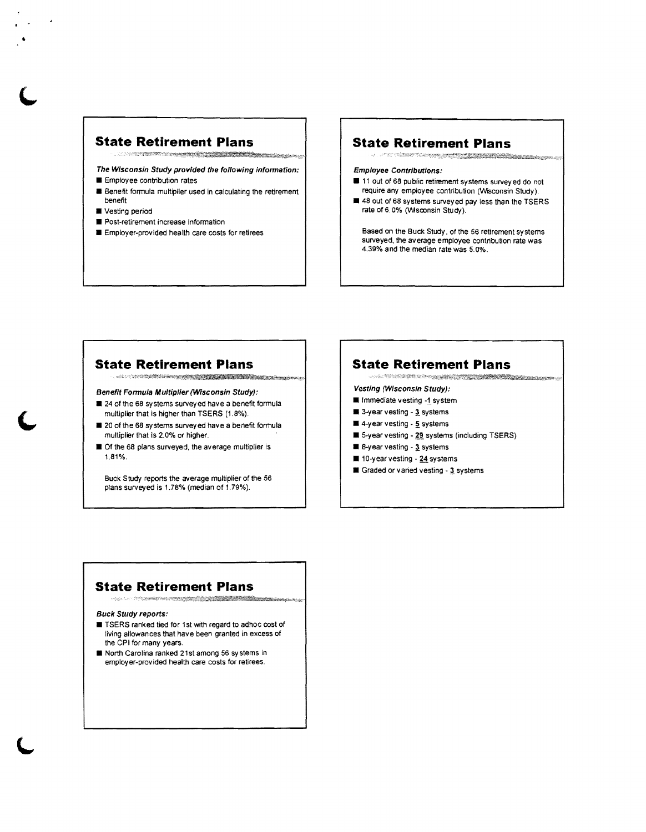### **State Retirement Plans**

The Wisconsin Study provided the following information:

- **E** Employee contribution rates
- **B** Benefit formula multiplier used in calculating the retirement benefit
- $\blacksquare$  Vesting period

•

- $\blacksquare$  Post-retirement increase information
- $\blacksquare$  Employer-provided health care costs for retirees

## **State Retirement Plans**

#### Employee Contributions:

- **11** out of 68 public retirement systems surveyed do not require any employee contribution (Wisconsin Study).
- $\blacksquare$  48 out of 68 systems surveyed pay less than the TSERS rate of 6.0% (Wsconsin Study).

Based on the Buck Study, of the 56 retirement systems surveyed, the average employee contribution rate was 4.39% and the median rate was 5.0%.

### **State Retirement Plans**

Benefit Formula Multiplier (WIsconsin Study):

- .24 of the 68 systems surveyed have a benefit formula multiplier that is higher than TSERS (1.8%).
- $\blacksquare$  20 of the 68 systems surveyed have a benefit formula multiplier that is 2.0% or higher.
- $\blacksquare$  Of the 68 plans surveyed, the average multiplier is 1.81%.

Buck Study reports the average multiplier of the 56 plans surveyed is 1.78% (median of 1.79%).

# **State Retirement Plans**

Vesting (Wisconsin Study):

- **II** Immediate vesting -1 system
- 9-year vesting 3 systems
- $\blacksquare$  4-year vesting  $\cdot$  5 systems
- **1** 5-year vesting 29 systems (including TSERS)
- $\blacksquare$  8-year vesting  $3$  systems
- $\blacksquare$  10-year vesting 24 systems
- $\blacksquare$  Graded or varied vesting 3 systems

### **State Retirement Plans**

"

#### Buck Study reports:

- **EXTERS** ranked tied for 1st with regard to adhoc cost of living allowances that have been granted in excess of the CPI for many years.
- **E** North Carolina ranked 21st among 56 systems in employer-provided health care costs for retirees.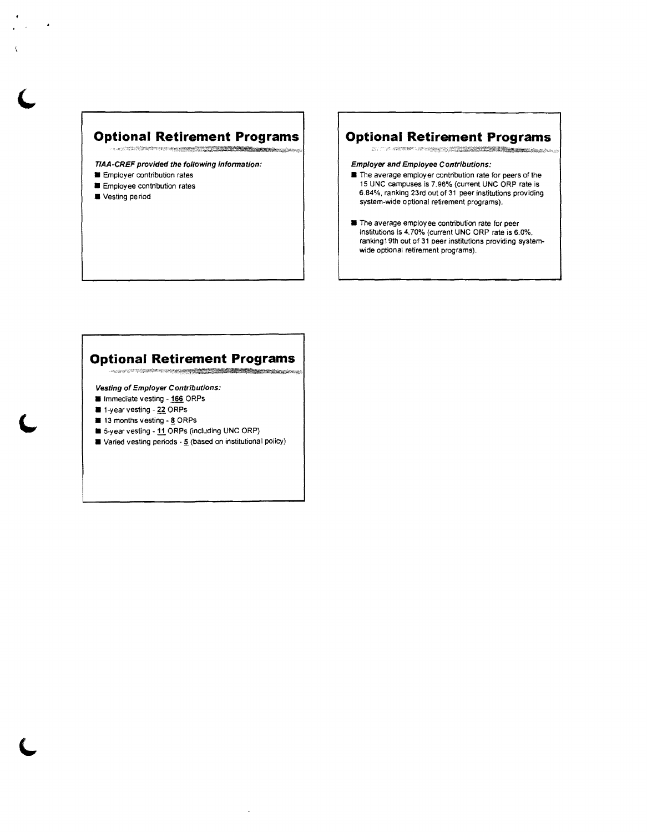### **Optional Retirement Programs**

TIAA-CREF provided the following information:

- $\blacksquare$  Employer contribution rates
- $\blacksquare$  Employee contribution rates
- $\blacksquare$  Vesting period

### **Optional Retirement Programs**

Employer and Employee Contributions:

- $\blacksquare$  The average employer contribution rate for peers of the 15 UNC campuses is 7.96% (current UNC ORP rate is 6.84%, ranking 23rd out of 31 peer institutions providing system-wide optional retirement programs) .
- $\blacksquare$  The average employee contribution rate for peer institutions is 4.70% (current UNC ORP rate is 6.0%, ranking19th out of 31 peer institutions providing systemwide optional retirement programs).

## **Optional Retirement Programs**

Vesting of Employer Contributions:

- **In Immediate vesting 166 ORPs**
- **a** 1-year vesting 22 ORPs
- 13 months vesting 8 ORPs
- 5-year vesting 11 ORPs (including UNC ORP)
- $\blacksquare$  Varied vesting periods  $\lrcorner$  (based on institutional policy)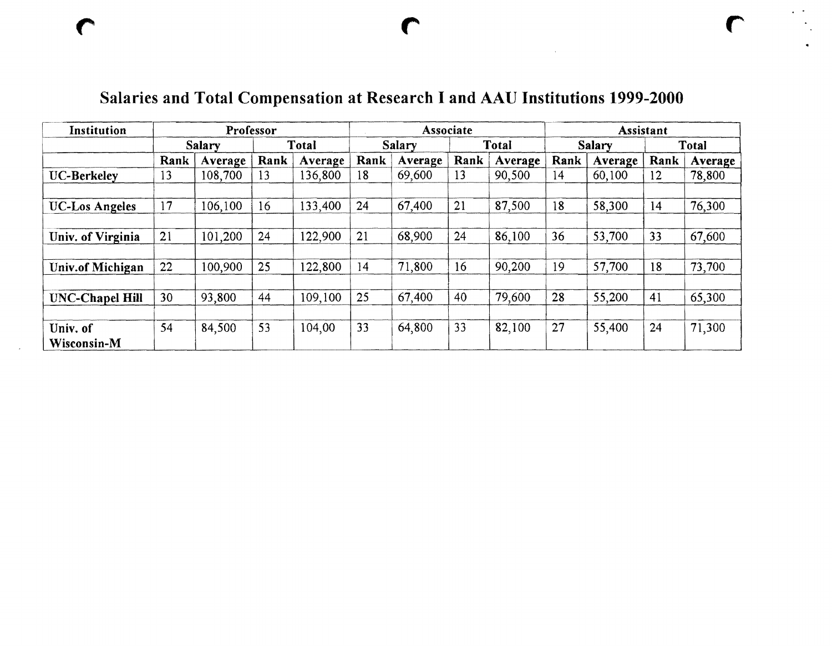| Institution       | Professor     |         |       |         | <b>Associate</b> |         |              |         | <b>Assistant</b> |         |       |         |
|-------------------|---------------|---------|-------|---------|------------------|---------|--------------|---------|------------------|---------|-------|---------|
|                   | <b>Salary</b> |         | Total |         | Salary           |         | <b>Total</b> |         | <b>Salary</b>    |         | Total |         |
|                   | Rank          | Average | Rank  | Average | Rank             | Average | Rank         | Average | Rank             | Average | Rank  | Average |
| UC-Berkeley       | 13            | 108,700 | 13    | 136,800 | 18               | 69,600  | 13           | 90,500  | 14               | 60,100  | 12    | 78,800  |
|                   |               |         |       |         |                  |         |              |         |                  |         |       |         |
| UC-Los Angeles    | 17            | 106,100 | 16    | 133,400 | 24               | 67,400  | 21           | 87,500  | 18               | 58,300  | 14    | 76,300  |
|                   |               |         |       |         |                  |         |              |         |                  |         |       |         |
| Univ. of Virginia | 21            | 101,200 | 24    | 122,900 | 21               | 68,900  | 24           | 86,100  | 36               | 53,700  | 33    | 67,600  |
|                   |               |         |       |         |                  |         |              |         |                  |         |       |         |
| Univ.of Michigan  | 22            | 100,900 | 25    | 122,800 | 14               | 71,800  | 16           | 90,200  | 19               | 57,700  | 18    | 73,700  |
|                   |               |         |       |         |                  |         |              |         |                  |         |       |         |
| UNC-Chapel Hill   | 30            | 93,800  | 44    | 109,100 | 25               | 67,400  | 40           | 79,600  | 28               | 55,200  | 41    | 65,300  |
|                   |               |         |       |         |                  |         |              |         |                  |         |       |         |
| Univ. of          | 54            | 84,500  | 53    | 104,00  | 33               | 64,800  | 33           | 82,100  | 27               | 55,400  | 24    | 71,300  |
| Wisconsin-M       |               |         |       |         |                  |         |              |         |                  |         |       |         |

### Salaries and Total Compensation at Research I and AAU Institutions 1999-2000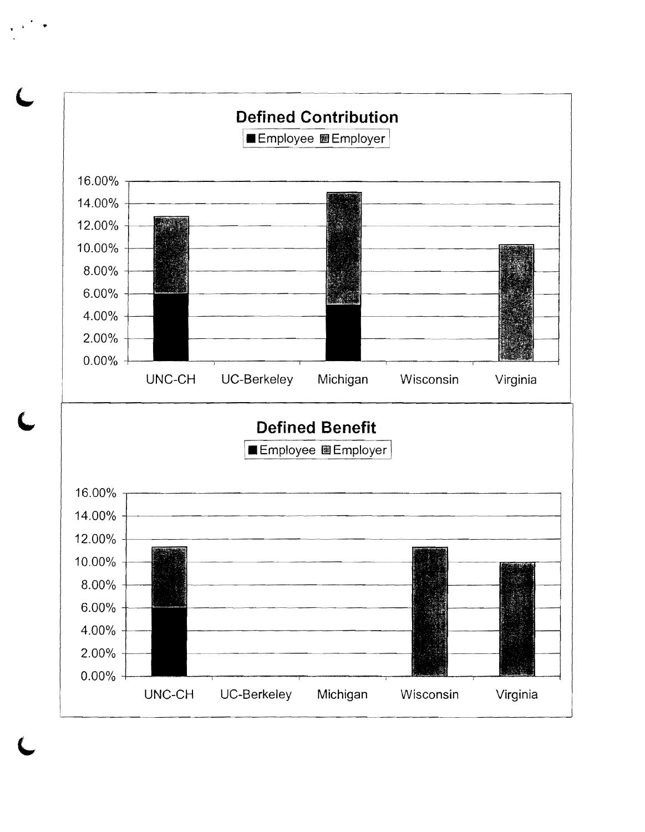

..